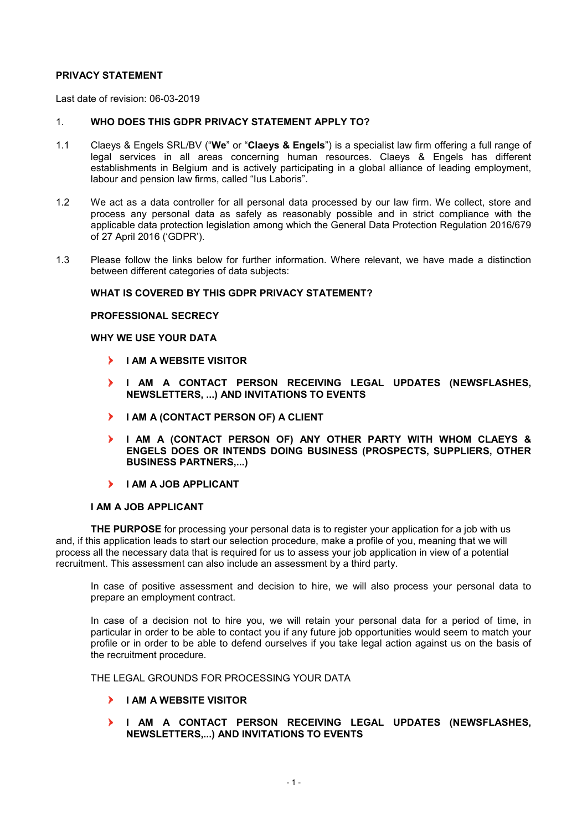### **PRIVACY STATEMENT**

Last date of revision: 06-03-2019

### 1. **WHO DOES THIS GDPR PRIVACY STATEMENT APPLY TO?**

- 1.1 Claeys & Engels SRL/BV ("**We**" or "**Claeys & Engels**") is a specialist law firm offering a full range of legal services in all areas concerning human resources. Claeys & Engels has different establishments in Belgium and is actively participating in a global alliance of leading employment, labour and pension law firms, called "Ius Laboris".
- 1.2 We act as a data controller for all personal data processed by our law firm. We collect, store and process any personal data as safely as reasonably possible and in strict compliance with the applicable data protection legislation among which the General Data Protection Regulation 2016/679 of 27 April 2016 ('GDPR').
- 1.3 Please follow the links below for further information. Where relevant, we have made a distinction between different categories of data subjects:

## **WHAT IS COVERED BY THIS GDPR PRIVACY STATEMENT?**

### **PROFESSIONAL SECRECY**

#### **WHY WE USE YOUR DATA**

- **I AM A WEBSITE VISITOR**
- **I AM A CONTACT PERSON RECEIVING LEGAL UPDATES (NEWSFLASHES, NEWSLETTERS, ...) AND INVITATIONS TO EVENTS**
- $\mathbf{V}$ **I AM A (CONTACT PERSON OF) A CLIENT**
- **I AM A (CONTACT PERSON OF) ANY OTHER PARTY WITH WHOM CLAEYS & ENGELS DOES OR INTENDS DOING BUSINESS (PROSPECTS, SUPPLIERS, OTHER BUSINESS PARTNERS,...)**
- **I AM A JOB APPLICANT**

#### **I AM A JOB APPLICANT**

**THE PURPOSE** for processing your personal data is to register your application for a job with us and, if this application leads to start our selection procedure, make a profile of you, meaning that we will process all the necessary data that is required for us to assess your job application in view of a potential recruitment. This assessment can also include an assessment by a third party.

In case of positive assessment and decision to hire, we will also process your personal data to prepare an employment contract.

In case of a decision not to hire you, we will retain your personal data for a period of time, in particular in order to be able to contact you if any future job opportunities would seem to match your profile or in order to be able to defend ourselves if you take legal action against us on the basis of the recruitment procedure.

THE LEGAL GROUNDS FOR PROCESSING YOUR DATA

- **I AM A WEBSITE VISITOR**
- **I AM A CONTACT PERSON RECEIVING LEGAL UPDATES (NEWSFLASHES, NEWSLETTERS,...) AND INVITATIONS TO EVENTS**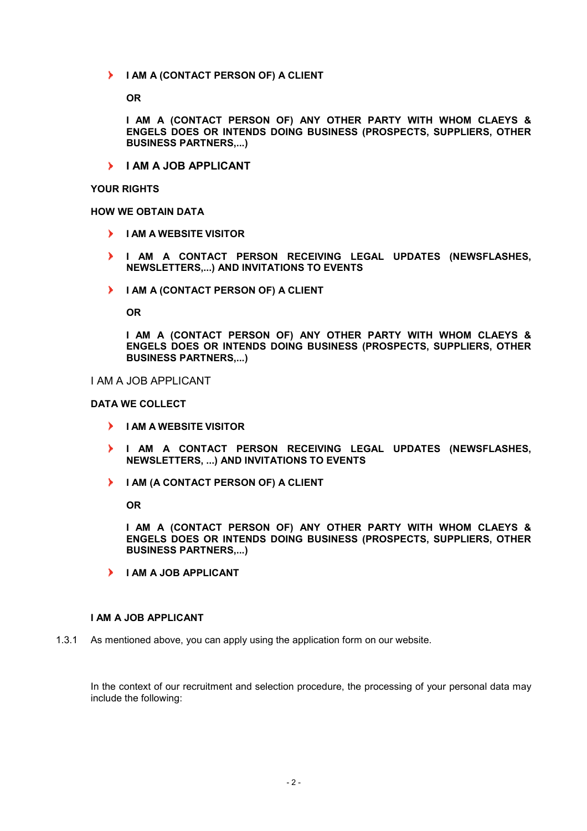$\blacktriangleright$ **I AM A (CONTACT PERSON OF) A CLIENT** 

**OR** 

**I AM A (CONTACT PERSON OF) ANY OTHER PARTY WITH WHOM CLAEYS & ENGELS DOES OR INTENDS DOING BUSINESS (PROSPECTS, SUPPLIERS, OTHER BUSINESS PARTNERS,...)** 

**I AM A JOB APPLICANT**

# **YOUR RIGHTS**

# **HOW WE OBTAIN DATA**

- **I AM A WEBSITE VISITOR**
- **I AM A CONTACT PERSON RECEIVING LEGAL UPDATES (NEWSFLASHES, NEWSLETTERS,...) AND INVITATIONS TO EVENTS**
- $\blacktriangleright$ **I AM A (CONTACT PERSON OF) A CLIENT**

**OR** 

**I AM A (CONTACT PERSON OF) ANY OTHER PARTY WITH WHOM CLAEYS & ENGELS DOES OR INTENDS DOING BUSINESS (PROSPECTS, SUPPLIERS, OTHER BUSINESS PARTNERS,...)** 

## I AM A JOB APPLICANT

## **DATA WE COLLECT**

- **I AM A WEBSITE VISITOR**
- **I AM A CONTACT PERSON RECEIVING LEGAL UPDATES (NEWSFLASHES, NEWSLETTERS, ...) AND INVITATIONS TO EVENTS**
- $\blacktriangleright$ **I AM (A CONTACT PERSON OF) A CLIENT**

**OR** 

**I AM A (CONTACT PERSON OF) ANY OTHER PARTY WITH WHOM CLAEYS & ENGELS DOES OR INTENDS DOING BUSINESS (PROSPECTS, SUPPLIERS, OTHER BUSINESS PARTNERS,...)** 

**I AM A JOB APPLICANT** 

#### **I AM A JOB APPLICANT**

1.3.1 As mentioned above, you can apply using the application form on our website.

In the context of our recruitment and selection procedure, the processing of your personal data may include the following: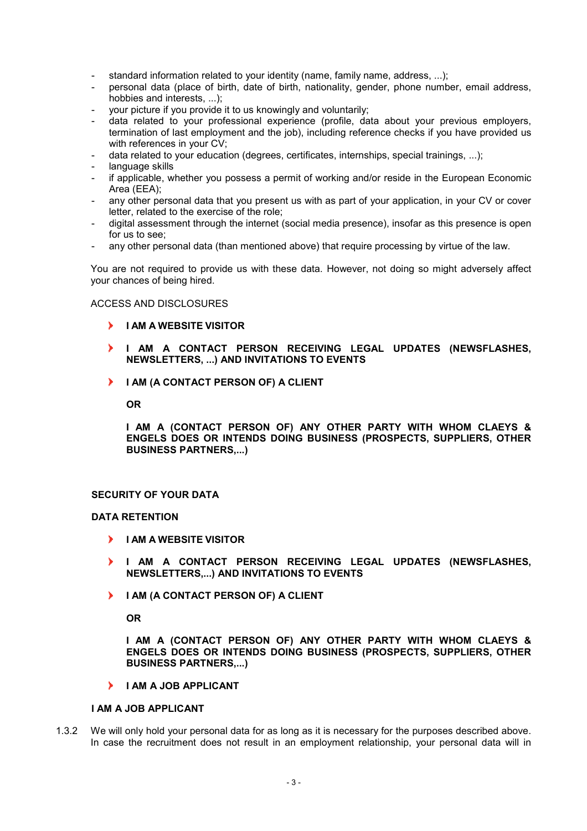- standard information related to your identity (name, family name, address, ...);
- personal data (place of birth, date of birth, nationality, gender, phone number, email address, hobbies and interests, ...);
- your picture if you provide it to us knowingly and voluntarily;
- data related to your professional experience (profile, data about your previous employers, termination of last employment and the job), including reference checks if you have provided us with references in your CV;
- data related to your education (degrees, certificates, internships, special trainings, ...);
- language skills
- if applicable, whether you possess a permit of working and/or reside in the European Economic Area (EEA);
- any other personal data that you present us with as part of your application, in your CV or cover letter, related to the exercise of the role;
- digital assessment through the internet (social media presence), insofar as this presence is open for us to see;
- any other personal data (than mentioned above) that require processing by virtue of the law.

You are not required to provide us with these data. However, not doing so might adversely affect your chances of being hired.

## ACCESS AND DISCLOSURES

- **I AM A WEBSITE VISITOR**
- **I AM A CONTACT PERSON RECEIVING LEGAL UPDATES (NEWSFLASHES, NEWSLETTERS, ...) AND INVITATIONS TO EVENTS**
- $\blacktriangleright$ **I AM (A CONTACT PERSON OF) A CLIENT**

**OR** 

**I AM A (CONTACT PERSON OF) ANY OTHER PARTY WITH WHOM CLAEYS & ENGELS DOES OR INTENDS DOING BUSINESS (PROSPECTS, SUPPLIERS, OTHER BUSINESS PARTNERS,...)** 

## **SECURITY OF YOUR DATA**

#### **DATA RETENTION**

- **I AM A WEBSITE VISITOR**
- **I AM A CONTACT PERSON RECEIVING LEGAL UPDATES (NEWSFLASHES, NEWSLETTERS,...) AND INVITATIONS TO EVENTS**
- **I AM (A CONTACT PERSON OF) A CLIENT**

**OR** 

**I AM A (CONTACT PERSON OF) ANY OTHER PARTY WITH WHOM CLAEYS & ENGELS DOES OR INTENDS DOING BUSINESS (PROSPECTS, SUPPLIERS, OTHER BUSINESS PARTNERS,...)** 

**I AM A JOB APPLICANT** 

# **I AM A JOB APPLICANT**

1.3.2 We will only hold your personal data for as long as it is necessary for the purposes described above. In case the recruitment does not result in an employment relationship, your personal data will in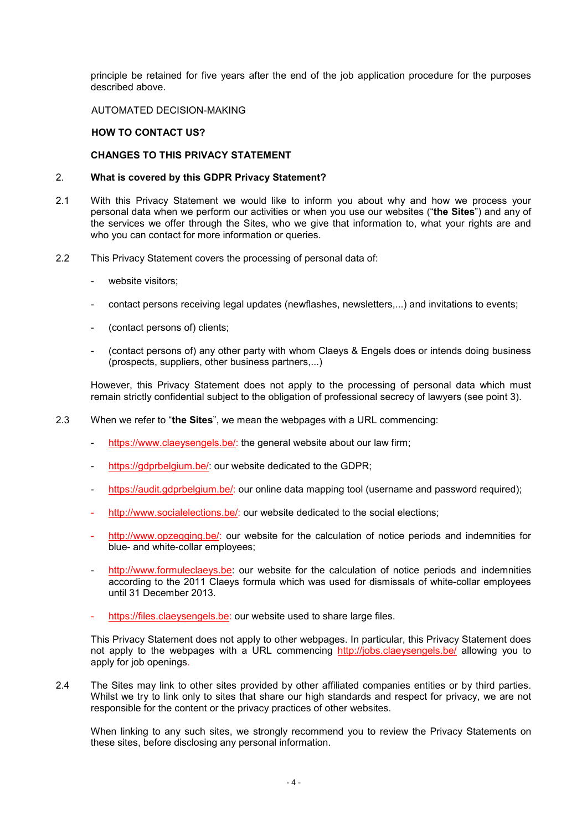principle be retained for five years after the end of the job application procedure for the purposes described above.

### AUTOMATED DECISION-MAKING

## **HOW TO CONTACT US?**

## **CHANGES TO THIS PRIVACY STATEMENT**

## 2. **What is covered by this GDPR Privacy Statement?**

- 2.1 With this Privacy Statement we would like to inform you about why and how we process your personal data when we perform our activities or when you use our websites ("**the Sites**") and any of the services we offer through the Sites, who we give that information to, what your rights are and who you can contact for more information or queries.
- 2.2 This Privacy Statement covers the processing of personal data of:
	- website visitors:
	- contact persons receiving legal updates (newflashes, newsletters,...) and invitations to events;
	- (contact persons of) clients;
	- (contact persons of) any other party with whom Claeys & Engels does or intends doing business (prospects, suppliers, other business partners,...)

However, this Privacy Statement does not apply to the processing of personal data which must remain strictly confidential subject to the obligation of professional secrecy of lawyers (see point 3).

- 2.3 When we refer to "**the Sites**", we mean the webpages with a URL commencing:
	- https://www.claeysengels.be/: the general website about our law firm;
	- https://gdprbelgium.be/: our website dedicated to the GDPR;
	- https://audit.gdprbelgium.be/: our online data mapping tool (username and password required);
	- http://www.socialelections.be/: our website dedicated to the social elections;
	- http://www.opzegging.be/: our website for the calculation of notice periods and indemnities for blue- and white-collar employees;
	- http://www.formuleclaeys.be: our website for the calculation of notice periods and indemnities according to the 2011 Claeys formula which was used for dismissals of white-collar employees until 31 December 2013.
	- https://files.claeysengels.be: our website used to share large files.

This Privacy Statement does not apply to other webpages. In particular, this Privacy Statement does not apply to the webpages with a URL commencing http://jobs.claeysengels.be/ allowing you to apply for job openings.

2.4 The Sites may link to other sites provided by other affiliated companies entities or by third parties. Whilst we try to link only to sites that share our high standards and respect for privacy, we are not responsible for the content or the privacy practices of other websites.

 When linking to any such sites, we strongly recommend you to review the Privacy Statements on these sites, before disclosing any personal information.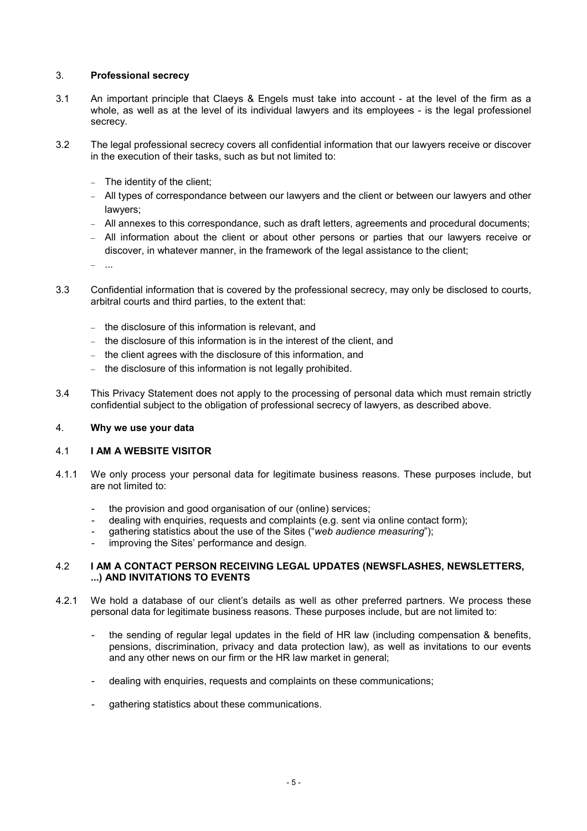## 3. **Professional secrecy**

- 3.1 An important principle that Claeys & Engels must take into account at the level of the firm as a whole, as well as at the level of its individual lawyers and its employees - is the legal professionel secrecy.
- 3.2 The legal professional secrecy covers all confidential information that our lawyers receive or discover in the execution of their tasks, such as but not limited to:
	- − The identity of the client;
	- − All types of correspondance between our lawyers and the client or between our lawyers and other lawyers;
	- − All annexes to this correspondance, such as draft letters, agreements and procedural documents;
	- − All information about the client or about other persons or parties that our lawyers receive or discover, in whatever manner, in the framework of the legal assistance to the client;

− ...

- 3.3 Confidential information that is covered by the professional secrecy, may only be disclosed to courts, arbitral courts and third parties, to the extent that:
	- − the disclosure of this information is relevant, and
	- − the disclosure of this information is in the interest of the client, and
	- the client agrees with the disclosure of this information, and
	- − the disclosure of this information is not legally prohibited.
- 3.4 This Privacy Statement does not apply to the processing of personal data which must remain strictly confidential subject to the obligation of professional secrecy of lawyers, as described above.

### 4. **Why we use your data**

#### 4.1 **I AM A WEBSITE VISITOR**

- 4.1.1 We only process your personal data for legitimate business reasons. These purposes include, but are not limited to:
	- the provision and good organisation of our (online) services;
	- dealing with enquiries, requests and complaints (e.g. sent via online contact form);
	- gathering statistics about the use of the Sites ("*web audience measuring*");
	- improving the Sites' performance and design.

## 4.2 **I AM A CONTACT PERSON RECEIVING LEGAL UPDATES (NEWSFLASHES, NEWSLETTERS, ...) AND INVITATIONS TO EVENTS**

- 4.2.1 We hold a database of our client's details as well as other preferred partners. We process these personal data for legitimate business reasons. These purposes include, but are not limited to:
	- the sending of regular legal updates in the field of HR law (including compensation & benefits, pensions, discrimination, privacy and data protection law), as well as invitations to our events and any other news on our firm or the HR law market in general;
	- dealing with enquiries, requests and complaints on these communications;
	- gathering statistics about these communications.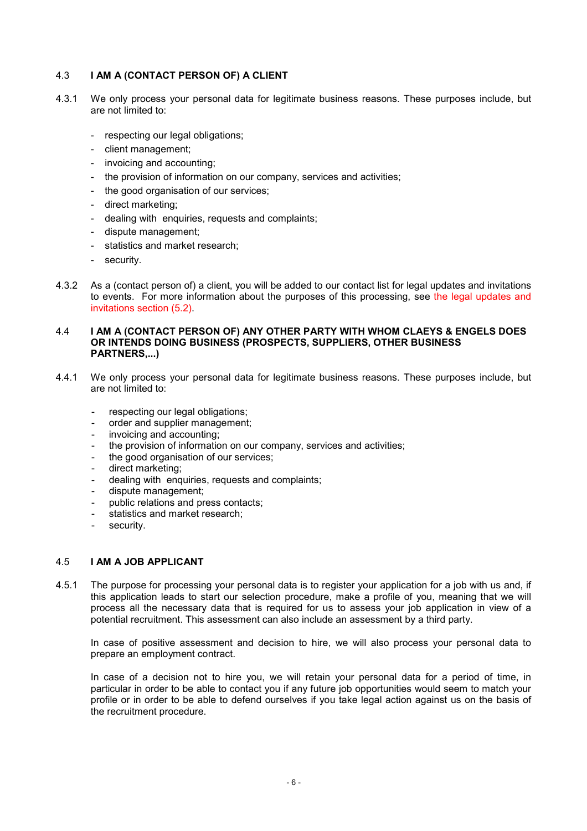## 4.3 **I AM A (CONTACT PERSON OF) A CLIENT**

- 4.3.1 We only process your personal data for legitimate business reasons. These purposes include, but are not limited to:
	- respecting our legal obligations;
	- client management;
	- invoicing and accounting;
	- the provision of information on our company, services and activities;
	- the good organisation of our services;
	- direct marketing;
	- dealing with enquiries, requests and complaints;
	- dispute management;
	- statistics and market research;
	- security.
- 4.3.2 As a (contact person of) a client, you will be added to our contact list for legal updates and invitations to events. For more information about the purposes of this processing, see the legal updates and invitations section (5.2).

### 4.4 **I AM A (CONTACT PERSON OF) ANY OTHER PARTY WITH WHOM CLAEYS & ENGELS DOES OR INTENDS DOING BUSINESS (PROSPECTS, SUPPLIERS, OTHER BUSINESS PARTNERS,...)**

- 4.4.1 We only process your personal data for legitimate business reasons. These purposes include, but are not limited to:
	- respecting our legal obligations;
	- order and supplier management:
	- invoicing and accounting;
	- the provision of information on our company, services and activities;
	- the good organisation of our services:
	- direct marketing:
	- dealing with enquiries, requests and complaints;
	- dispute management:
	- public relations and press contacts;
	- statistics and market research;
	- security.

## 4.5 **I AM A JOB APPLICANT**

4.5.1 The purpose for processing your personal data is to register your application for a job with us and, if this application leads to start our selection procedure, make a profile of you, meaning that we will process all the necessary data that is required for us to assess your job application in view of a potential recruitment. This assessment can also include an assessment by a third party.

In case of positive assessment and decision to hire, we will also process your personal data to prepare an employment contract.

In case of a decision not to hire you, we will retain your personal data for a period of time, in particular in order to be able to contact you if any future job opportunities would seem to match your profile or in order to be able to defend ourselves if you take legal action against us on the basis of the recruitment procedure.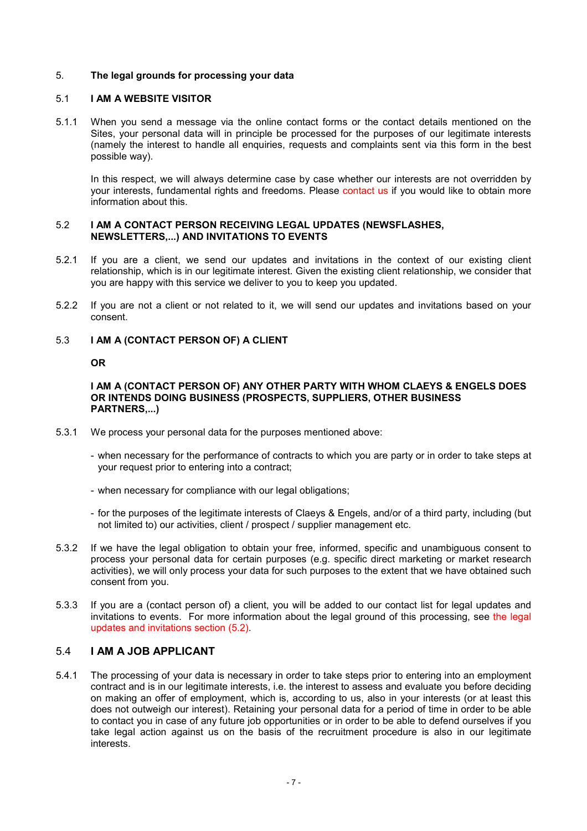## 5. **The legal grounds for processing your data**

### 5.1 **I AM A WEBSITE VISITOR**

5.1.1 When you send a message via the online contact forms or the contact details mentioned on the Sites, your personal data will in principle be processed for the purposes of our legitimate interests (namely the interest to handle all enquiries, requests and complaints sent via this form in the best possible way).

In this respect, we will always determine case by case whether our interests are not overridden by your interests, fundamental rights and freedoms. Please contact us if you would like to obtain more information about this.

### 5.2 **I AM A CONTACT PERSON RECEIVING LEGAL UPDATES (NEWSFLASHES, NEWSLETTERS,...) AND INVITATIONS TO EVENTS**

- 5.2.1 If you are a client, we send our updates and invitations in the context of our existing client relationship, which is in our legitimate interest. Given the existing client relationship, we consider that you are happy with this service we deliver to you to keep you updated.
- 5.2.2 If you are not a client or not related to it, we will send our updates and invitations based on your consent.

## 5.3 **I AM A (CONTACT PERSON OF) A CLIENT**

#### **OR**

### **I AM A (CONTACT PERSON OF) ANY OTHER PARTY WITH WHOM CLAEYS & ENGELS DOES OR INTENDS DOING BUSINESS (PROSPECTS, SUPPLIERS, OTHER BUSINESS PARTNERS,...)**

- 5.3.1 We process your personal data for the purposes mentioned above:
	- when necessary for the performance of contracts to which you are party or in order to take steps at your request prior to entering into a contract;
	- when necessary for compliance with our legal obligations;
	- for the purposes of the legitimate interests of Claeys & Engels, and/or of a third party, including (but not limited to) our activities, client / prospect / supplier management etc.
- 5.3.2 If we have the legal obligation to obtain your free, informed, specific and unambiguous consent to process your personal data for certain purposes (e.g. specific direct marketing or market research activities), we will only process your data for such purposes to the extent that we have obtained such consent from you.
- 5.3.3 If you are a (contact person of) a client, you will be added to our contact list for legal updates and invitations to events. For more information about the legal ground of this processing, see the legal updates and invitations section (5.2).

## 5.4 **I AM A JOB APPLICANT**

5.4.1 The processing of your data is necessary in order to take steps prior to entering into an employment contract and is in our legitimate interests, i.e. the interest to assess and evaluate you before deciding on making an offer of employment, which is, according to us, also in your interests (or at least this does not outweigh our interest). Retaining your personal data for a period of time in order to be able to contact you in case of any future job opportunities or in order to be able to defend ourselves if you take legal action against us on the basis of the recruitment procedure is also in our legitimate interests.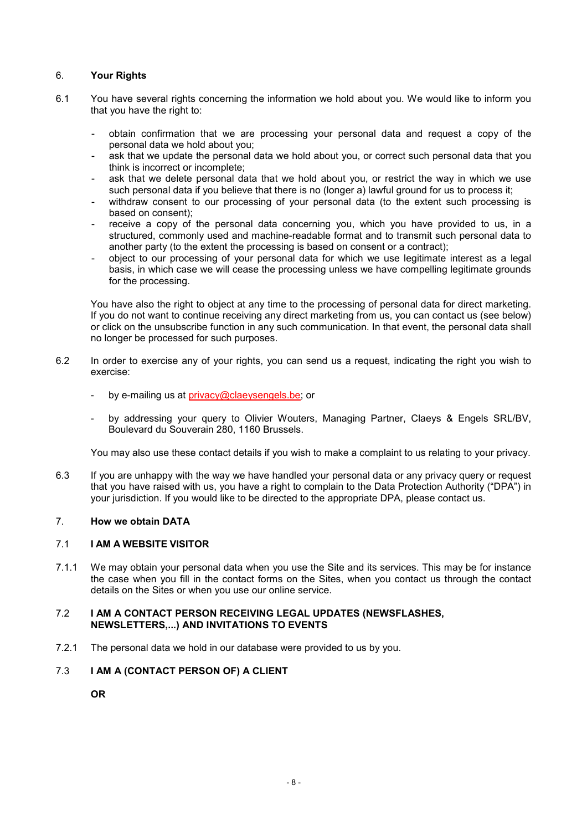# 6. **Your Rights**

- 6.1 You have several rights concerning the information we hold about you. We would like to inform you that you have the right to:
	- obtain confirmation that we are processing your personal data and request a copy of the personal data we hold about you;
	- ask that we update the personal data we hold about you, or correct such personal data that you think is incorrect or incomplete;
	- ask that we delete personal data that we hold about you, or restrict the way in which we use such personal data if you believe that there is no (longer a) lawful ground for us to process it;
	- withdraw consent to our processing of your personal data (to the extent such processing is based on consent);
	- receive a copy of the personal data concerning you, which you have provided to us, in a structured, commonly used and machine-readable format and to transmit such personal data to another party (to the extent the processing is based on consent or a contract);
	- object to our processing of your personal data for which we use legitimate interest as a legal basis, in which case we will cease the processing unless we have compelling legitimate grounds for the processing.

You have also the right to object at any time to the processing of personal data for direct marketing. If you do not want to continue receiving any direct marketing from us, you can contact us (see below) or click on the unsubscribe function in any such communication. In that event, the personal data shall no longer be processed for such purposes.

- 6.2 In order to exercise any of your rights, you can send us a request, indicating the right you wish to exercise:
	- by e-mailing us at privacy@claeysengels.be; or
	- by addressing your query to Olivier Wouters, Managing Partner, Claeys & Engels SRL/BV, Boulevard du Souverain 280, 1160 Brussels.

You may also use these contact details if you wish to make a complaint to us relating to your privacy.

6.3 If you are unhappy with the way we have handled your personal data or any privacy query or request that you have raised with us, you have a right to complain to the Data Protection Authority ("DPA") in your jurisdiction. If you would like to be directed to the appropriate DPA, please contact us.

# 7. **How we obtain DATA**

## 7.1 **I AM A WEBSITE VISITOR**

7.1.1 We may obtain your personal data when you use the Site and its services. This may be for instance the case when you fill in the contact forms on the Sites, when you contact us through the contact details on the Sites or when you use our online service.

## 7.2 **I AM A CONTACT PERSON RECEIVING LEGAL UPDATES (NEWSFLASHES, NEWSLETTERS,...) AND INVITATIONS TO EVENTS**

7.2.1 The personal data we hold in our database were provided to us by you.

# 7.3 **I AM A (CONTACT PERSON OF) A CLIENT**

**OR**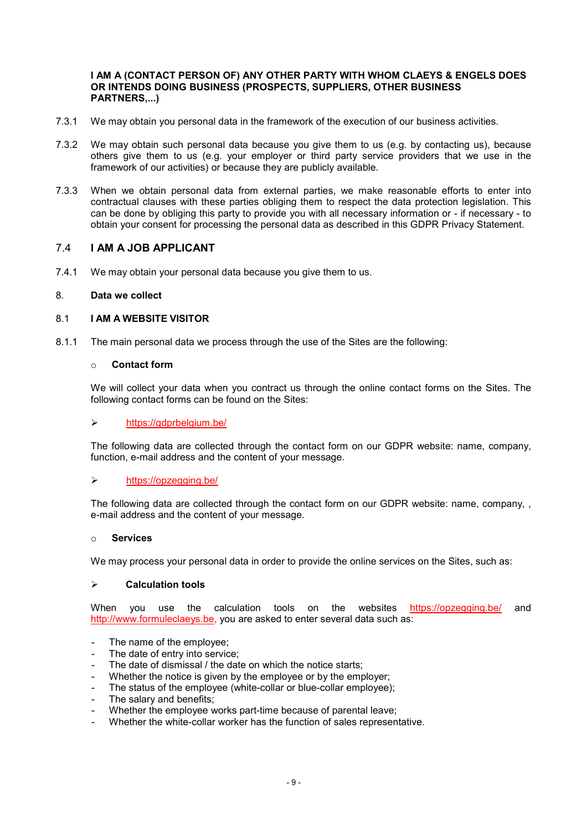#### **I AM A (CONTACT PERSON OF) ANY OTHER PARTY WITH WHOM CLAEYS & ENGELS DOES OR INTENDS DOING BUSINESS (PROSPECTS, SUPPLIERS, OTHER BUSINESS PARTNERS,...)**

- 7.3.1 We may obtain you personal data in the framework of the execution of our business activities.
- 7.3.2 We may obtain such personal data because you give them to us (e.g. by contacting us), because others give them to us (e.g. your employer or third party service providers that we use in the framework of our activities) or because they are publicly available.
- 7.3.3 When we obtain personal data from external parties, we make reasonable efforts to enter into contractual clauses with these parties obliging them to respect the data protection legislation. This can be done by obliging this party to provide you with all necessary information or - if necessary - to obtain your consent for processing the personal data as described in this GDPR Privacy Statement.

## 7.4 **I AM A JOB APPLICANT**

7.4.1 We may obtain your personal data because you give them to us.

#### 8. **Data we collect**

## 8.1 **I AM A WEBSITE VISITOR**

8.1.1 The main personal data we process through the use of the Sites are the following:

# o **Contact form**

We will collect your data when you contract us through the online contact forms on the Sites. The following contact forms can be found on the Sites:

#### https://gdprbelgium.be/

The following data are collected through the contact form on our GDPR website: name, company, function, e-mail address and the content of your message.

#### https://opzegging.be/

The following data are collected through the contact form on our GDPR website: name, company, , e-mail address and the content of your message.

#### o **Services**

We may process your personal data in order to provide the online services on the Sites, such as:

### **Calculation tools**

When you use the calculation tools on the websites https://opzegging.be/ and http://www.formuleclaeys.be, you are asked to enter several data such as:

- The name of the employee;
- The date of entry into service;
- The date of dismissal / the date on which the notice starts;
- Whether the notice is given by the employee or by the employer;
- The status of the employee (white-collar or blue-collar employee);
- The salary and benefits;
- Whether the employee works part-time because of parental leave;
- Whether the white-collar worker has the function of sales representative.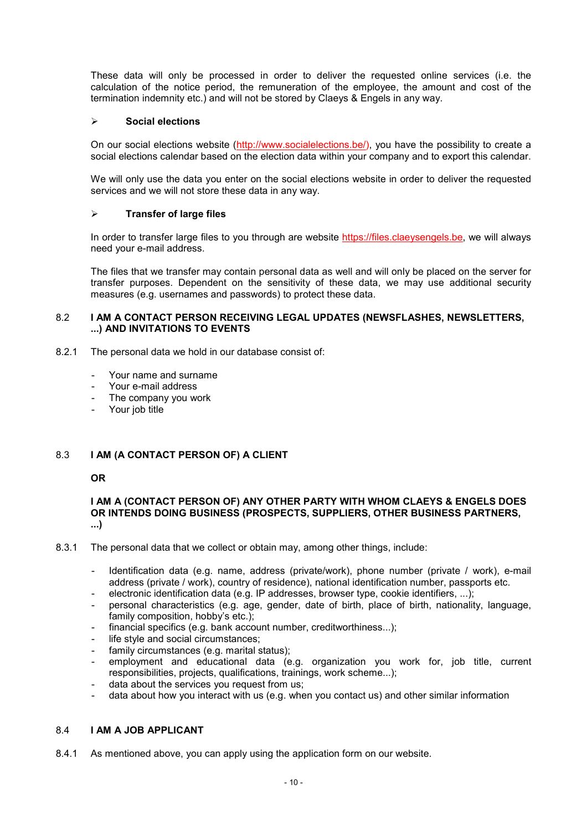These data will only be processed in order to deliver the requested online services (i.e. the calculation of the notice period, the remuneration of the employee, the amount and cost of the termination indemnity etc.) and will not be stored by Claeys & Engels in any way.

## **Social elections**

On our social elections website (http://www.socialelections.be/), you have the possibility to create a social elections calendar based on the election data within your company and to export this calendar.

We will only use the data you enter on the social elections website in order to deliver the requested services and we will not store these data in any way.

## **Transfer of large files**

In order to transfer large files to you through are website https://files.claeysengels.be, we will always need your e-mail address.

The files that we transfer may contain personal data as well and will only be placed on the server for transfer purposes. Dependent on the sensitivity of these data, we may use additional security measures (e.g. usernames and passwords) to protect these data.

### 8.2 **I AM A CONTACT PERSON RECEIVING LEGAL UPDATES (NEWSFLASHES, NEWSLETTERS, ...) AND INVITATIONS TO EVENTS**

- 8.2.1 The personal data we hold in our database consist of:
	- Your name and surname
	- Your e-mail address
	- The company you work
	- Your job title

## 8.3 **I AM (A CONTACT PERSON OF) A CLIENT**

## **OR**

#### **I AM A (CONTACT PERSON OF) ANY OTHER PARTY WITH WHOM CLAEYS & ENGELS DOES OR INTENDS DOING BUSINESS (PROSPECTS, SUPPLIERS, OTHER BUSINESS PARTNERS, ...)**

- 8.3.1 The personal data that we collect or obtain may, among other things, include:
	- Identification data (e.g. name, address (private/work), phone number (private / work), e-mail address (private / work), country of residence), national identification number, passports etc.
	- electronic identification data (e.g. IP addresses, browser type, cookie identifiers, ...);
	- personal characteristics (e.g. age, gender, date of birth, place of birth, nationality, language, family composition, hobby's etc.);
	- financial specifics (e.g. bank account number, creditworthiness...);
	- life style and social circumstances;
	- family circumstances (e.g. marital status);
	- employment and educational data (e.g. organization you work for, job title, current responsibilities, projects, qualifications, trainings, work scheme...);
	- data about the services you request from us;
	- data about how you interact with us (e.g. when you contact us) and other similar information

## 8.4 **I AM A JOB APPLICANT**

8.4.1 As mentioned above, you can apply using the application form on our website.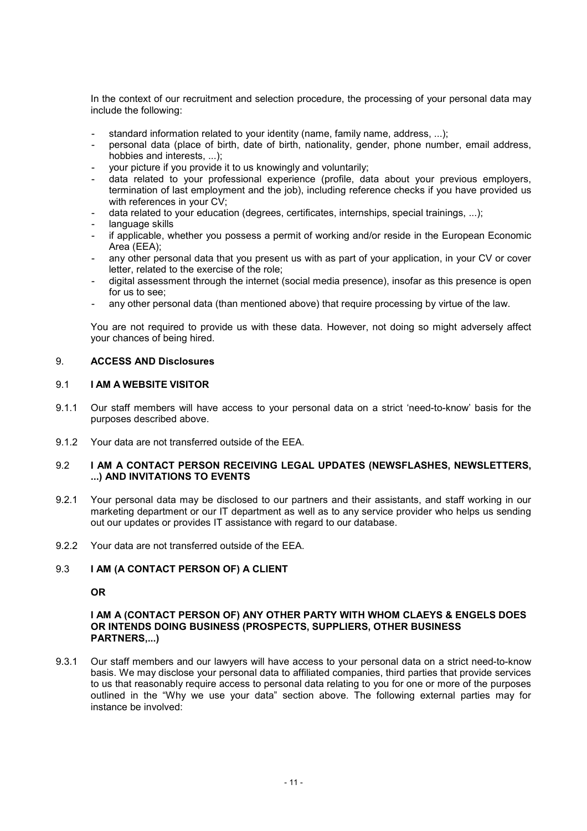In the context of our recruitment and selection procedure, the processing of your personal data may include the following:

- standard information related to your identity (name, family name, address, ...);
- personal data (place of birth, date of birth, nationality, gender, phone number, email address, hobbies and interests, ...);
- your picture if you provide it to us knowingly and voluntarily;
- data related to your professional experience (profile, data about your previous employers, termination of last employment and the job), including reference checks if you have provided us with references in your CV;
- data related to your education (degrees, certificates, internships, special trainings, ...);
- language skills
- if applicable, whether you possess a permit of working and/or reside in the European Economic Area (EEA);
- any other personal data that you present us with as part of your application, in your CV or cover letter, related to the exercise of the role;
- digital assessment through the internet (social media presence), insofar as this presence is open for us to see;
- any other personal data (than mentioned above) that require processing by virtue of the law.

You are not required to provide us with these data. However, not doing so might adversely affect your chances of being hired.

## 9. **ACCESS AND Disclosures**

## 9.1 **I AM A WEBSITE VISITOR**

- 9.1.1 Our staff members will have access to your personal data on a strict 'need-to-know' basis for the purposes described above.
- 9.1.2 Your data are not transferred outside of the EEA.

## 9.2 **I AM A CONTACT PERSON RECEIVING LEGAL UPDATES (NEWSFLASHES, NEWSLETTERS, ...) AND INVITATIONS TO EVENTS**

- 9.2.1 Your personal data may be disclosed to our partners and their assistants, and staff working in our marketing department or our IT department as well as to any service provider who helps us sending out our updates or provides IT assistance with regard to our database.
- 9.2.2 Your data are not transferred outside of the EEA.

# 9.3 **I AM (A CONTACT PERSON OF) A CLIENT**

#### **OR**

## **I AM A (CONTACT PERSON OF) ANY OTHER PARTY WITH WHOM CLAEYS & ENGELS DOES OR INTENDS DOING BUSINESS (PROSPECTS, SUPPLIERS, OTHER BUSINESS PARTNERS,...)**

9.3.1 Our staff members and our lawyers will have access to your personal data on a strict need-to-know basis. We may disclose your personal data to affiliated companies, third parties that provide services to us that reasonably require access to personal data relating to you for one or more of the purposes outlined in the "Why we use your data" section above. The following external parties may for instance be involved: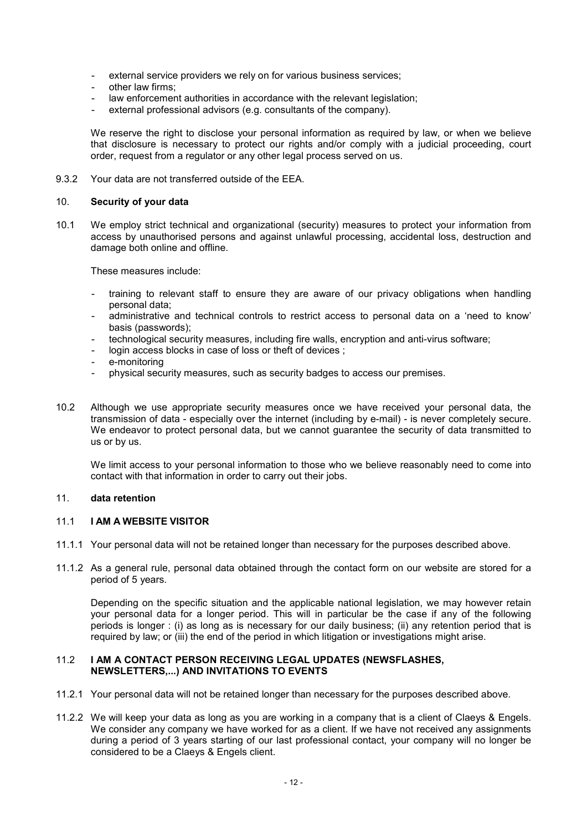- external service providers we rely on for various business services;
- other law firms:
- law enforcement authorities in accordance with the relevant legislation;
- external professional advisors (e.g. consultants of the company).

We reserve the right to disclose your personal information as required by law, or when we believe that disclosure is necessary to protect our rights and/or comply with a judicial proceeding, court order, request from a regulator or any other legal process served on us.

9.3.2 Your data are not transferred outside of the FFA.

#### 10. **Security of your data**

10.1 We employ strict technical and organizational (security) measures to protect your information from access by unauthorised persons and against unlawful processing, accidental loss, destruction and damage both online and offline.

These measures include:

- training to relevant staff to ensure they are aware of our privacy obligations when handling personal data;
- administrative and technical controls to restrict access to personal data on a 'need to know' basis (passwords);
- technological security measures, including fire walls, encryption and anti-virus software;
- login access blocks in case of loss or theft of devices ;
- e-monitoring
- physical security measures, such as security badges to access our premises.
- 10.2 Although we use appropriate security measures once we have received your personal data, the transmission of data - especially over the internet (including by e-mail) - is never completely secure. We endeavor to protect personal data, but we cannot guarantee the security of data transmitted to us or by us.

We limit access to your personal information to those who we believe reasonably need to come into contact with that information in order to carry out their jobs.

#### 11. **data retention**

## 11.1 **I AM A WEBSITE VISITOR**

- 11.1.1 Your personal data will not be retained longer than necessary for the purposes described above.
- 11.1.2 As a general rule, personal data obtained through the contact form on our website are stored for a period of 5 years.

Depending on the specific situation and the applicable national legislation, we may however retain your personal data for a longer period. This will in particular be the case if any of the following periods is longer : (i) as long as is necessary for our daily business; (ii) any retention period that is required by law; or (iii) the end of the period in which litigation or investigations might arise.

### 11.2 **I AM A CONTACT PERSON RECEIVING LEGAL UPDATES (NEWSFLASHES, NEWSLETTERS,...) AND INVITATIONS TO EVENTS**

- 11.2.1 Your personal data will not be retained longer than necessary for the purposes described above.
- 11.2.2 We will keep your data as long as you are working in a company that is a client of Claeys & Engels. We consider any company we have worked for as a client. If we have not received any assignments during a period of 3 years starting of our last professional contact, your company will no longer be considered to be a Claeys & Engels client.